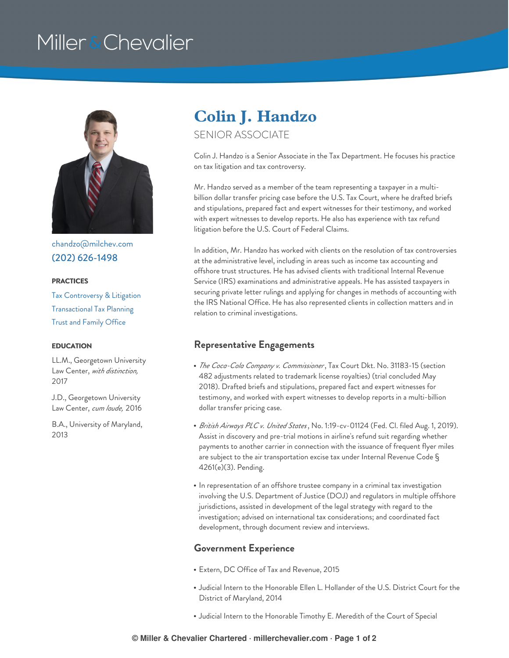# Miller & Chevalier



[chandzo@milchev.com](mailto:chandzo@milchev.com) (202) [626-1498](tel:202-626-1498)

#### **PRACTICES**

Tax [Controversy](https://www.millerchevalier.com/practice-area/tax-controversy-litigation) & Litigation [Transactional](https://www.millerchevalier.com/practice-area/transactional-tax-planning) Tax Planning Trust and [Family](https://www.millerchevalier.com/practice-area/trust-and-family-office) Office

LL.M., Georgetown University Law Center, *with distinction,* 2017

J.D., Georgetown University Law Center, *cum laude,* 2016

B.A., University of Maryland, 2013

### **Colin J. Handzo**

#### SENIOR ASSOCIATE

Colin J. Handzo is a Senior Associate in the Tax Department. He focuses his practice on tax litigation and tax controversy.

Mr. Handzo served as a member of the team representing a taxpayer in a multibillion dollar transfer pricing case before the U.S. Tax Court, where he drafted briefs and stipulations, prepared fact and expert witnesses for their testimony, and worked with expert witnesses to develop reports. He also has experience with tax refund litigation before the U.S. Court of Federal Claims.

In addition, Mr. Handzo has worked with clients on the resolution of tax controversies at the administrative level, including in areas such as income tax accounting and offshore trust structures. He has advised clients with traditional Internal Revenue Service (IRS) examinations and administrative appeals. He has assisted taxpayers in securing private letter rulings and applying for changes in methods of accounting with the IRS National Office. He has also represented clients in collection matters and in relation to criminal investigations.

#### **EDUCATION Representative Engagements**

- *The Coca-Cola Company v. Commissioner*, Tax Court Dkt. No. 31183-15 (section 482 adjustments related to trademark license royalties) (trial concluded May 2018). Drafted briefs and stipulations, prepared fact and expert witnesses for testimony, and worked with expert witnesses to develop reports in a multi-billion dollar transfer pricing case.
- *British Airways PLC v. United States*, No. 1:19-cv-01124 (Fed. Cl. filed Aug. 1, 2019). Assist in discovery and pre-trial motions in airline's refund suit regarding whether payments to another carrier in connection with the issuance of frequent flyer miles are subject to the air transportation excise tax under Internal Revenue Code § 4261(e)(3). Pending.
- In representation of an offshore trustee company in a criminal tax investigation involving the U.S. Department of Justice (DOJ) and regulators in multiple offshore jurisdictions, assisted in development of the legal strategy with regard to the investigation; advised on international tax considerations; and coordinated fact development, through document review and interviews.

#### **Government Experience**

- Extern, DC Office of Tax and Revenue, 2015
- Judicial Intern to the Honorable Ellen L. Hollander of the U.S. District Court for the District of Maryland, 2014
- Judicial Intern to the Honorable Timothy E. Meredith of the Court of Special